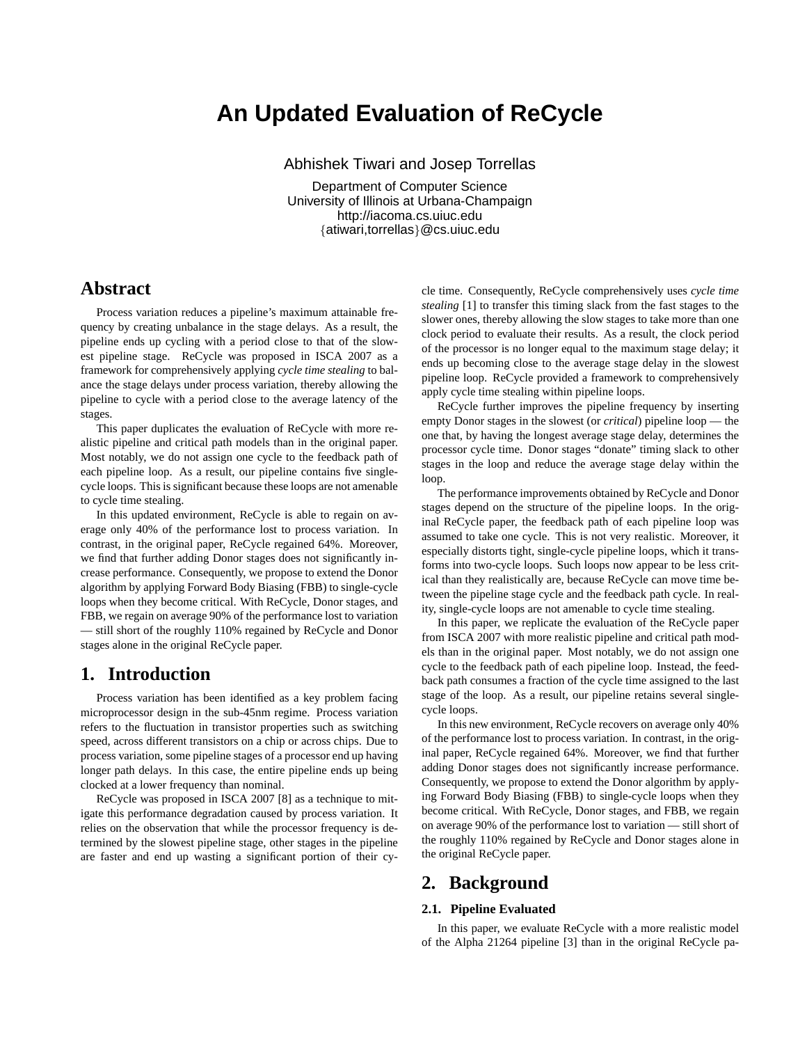# **An Updated Evaluation of ReCycle**

Abhishek Tiwari and Josep Torrellas

Department of Computer Science University of Illinois at Urbana-Champaign http://iacoma.cs.uiuc.edu {atiwari,torrellas}@cs.uiuc.edu

## **Abstract**

Process variation reduces a pipeline's maximum attainable frequency by creating unbalance in the stage delays. As a result, the pipeline ends up cycling with a period close to that of the slowest pipeline stage. ReCycle was proposed in ISCA 2007 as a framework for comprehensively applying *cycle time stealing* to balance the stage delays under process variation, thereby allowing the pipeline to cycle with a period close to the average latency of the stages.

This paper duplicates the evaluation of ReCycle with more realistic pipeline and critical path models than in the original paper. Most notably, we do not assign one cycle to the feedback path of each pipeline loop. As a result, our pipeline contains five singlecycle loops. This is significant because these loops are not amenable to cycle time stealing.

In this updated environment, ReCycle is able to regain on average only 40% of the performance lost to process variation. In contrast, in the original paper, ReCycle regained 64%. Moreover, we find that further adding Donor stages does not significantly increase performance. Consequently, we propose to extend the Donor algorithm by applying Forward Body Biasing (FBB) to single-cycle loops when they become critical. With ReCycle, Donor stages, and FBB, we regain on average 90% of the performance lost to variation — still short of the roughly 110% regained by ReCycle and Donor stages alone in the original ReCycle paper.

### **1. Introduction**

Process variation has been identified as a key problem facing microprocessor design in the sub-45nm regime. Process variation refers to the fluctuation in transistor properties such as switching speed, across different transistors on a chip or across chips. Due to process variation, some pipeline stages of a processor end up having longer path delays. In this case, the entire pipeline ends up being clocked at a lower frequency than nominal.

ReCycle was proposed in ISCA 2007 [8] as a technique to mitigate this performance degradation caused by process variation. It relies on the observation that while the processor frequency is determined by the slowest pipeline stage, other stages in the pipeline are faster and end up wasting a significant portion of their cy-

cle time. Consequently, ReCycle comprehensively uses *cycle time stealing* [1] to transfer this timing slack from the fast stages to the slower ones, thereby allowing the slow stages to take more than one clock period to evaluate their results. As a result, the clock period of the processor is no longer equal to the maximum stage delay; it ends up becoming close to the average stage delay in the slowest pipeline loop. ReCycle provided a framework to comprehensively apply cycle time stealing within pipeline loops.

ReCycle further improves the pipeline frequency by inserting empty Donor stages in the slowest (or *critical*) pipeline loop — the one that, by having the longest average stage delay, determines the processor cycle time. Donor stages "donate" timing slack to other stages in the loop and reduce the average stage delay within the loop.

The performance improvements obtained by ReCycle and Donor stages depend on the structure of the pipeline loops. In the original ReCycle paper, the feedback path of each pipeline loop was assumed to take one cycle. This is not very realistic. Moreover, it especially distorts tight, single-cycle pipeline loops, which it transforms into two-cycle loops. Such loops now appear to be less critical than they realistically are, because ReCycle can move time between the pipeline stage cycle and the feedback path cycle. In reality, single-cycle loops are not amenable to cycle time stealing.

In this paper, we replicate the evaluation of the ReCycle paper from ISCA 2007 with more realistic pipeline and critical path models than in the original paper. Most notably, we do not assign one cycle to the feedback path of each pipeline loop. Instead, the feedback path consumes a fraction of the cycle time assigned to the last stage of the loop. As a result, our pipeline retains several singlecycle loops.

In this new environment, ReCycle recovers on average only 40% of the performance lost to process variation. In contrast, in the original paper, ReCycle regained 64%. Moreover, we find that further adding Donor stages does not significantly increase performance. Consequently, we propose to extend the Donor algorithm by applying Forward Body Biasing (FBB) to single-cycle loops when they become critical. With ReCycle, Donor stages, and FBB, we regain on average 90% of the performance lost to variation — still short of the roughly 110% regained by ReCycle and Donor stages alone in the original ReCycle paper.

# **2. Background**

#### **2.1. Pipeline Evaluated**

In this paper, we evaluate ReCycle with a more realistic model of the Alpha 21264 pipeline [3] than in the original ReCycle pa-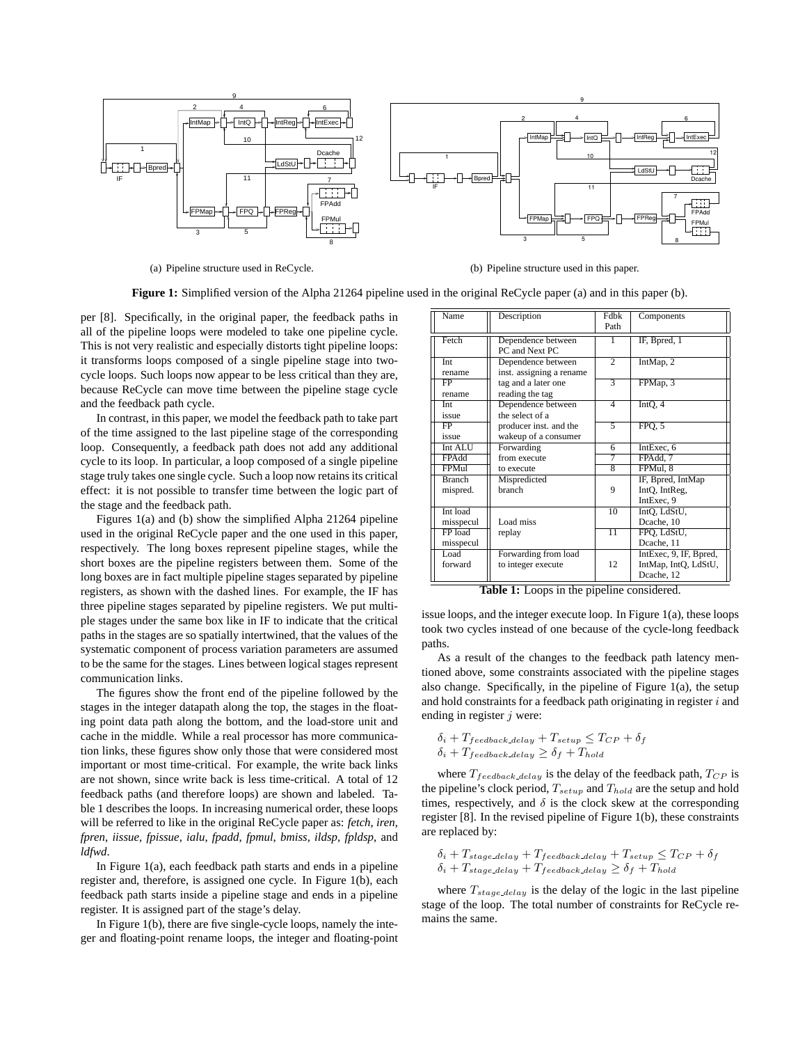

(a) Pipeline structure used in ReCycle.

(b) Pipeline structure used in this paper.

**Figure 1:** Simplified version of the Alpha 21264 pipeline used in the original ReCycle paper (a) and in this paper (b).

per [8]. Specifically, in the original paper, the feedback paths in all of the pipeline loops were modeled to take one pipeline cycle. This is not very realistic and especially distorts tight pipeline loops: it transforms loops composed of a single pipeline stage into twocycle loops. Such loops now appear to be less critical than they are, because ReCycle can move time between the pipeline stage cycle and the feedback path cycle.

In contrast, in this paper, we model the feedback path to take part of the time assigned to the last pipeline stage of the corresponding loop. Consequently, a feedback path does not add any additional cycle to its loop. In particular, a loop composed of a single pipeline stage truly takes one single cycle. Such a loop now retains its critical effect: it is not possible to transfer time between the logic part of the stage and the feedback path.

Figures 1(a) and (b) show the simplified Alpha 21264 pipeline used in the original ReCycle paper and the one used in this paper, respectively. The long boxes represent pipeline stages, while the short boxes are the pipeline registers between them. Some of the long boxes are in fact multiple pipeline stages separated by pipeline registers, as shown with the dashed lines. For example, the IF has three pipeline stages separated by pipeline registers. We put multiple stages under the same box like in IF to indicate that the critical paths in the stages are so spatially intertwined, that the values of the systematic component of process variation parameters are assumed to be the same for the stages. Lines between logical stages represent communication links.

The figures show the front end of the pipeline followed by the stages in the integer datapath along the top, the stages in the floating point data path along the bottom, and the load-store unit and cache in the middle. While a real processor has more communication links, these figures show only those that were considered most important or most time-critical. For example, the write back links are not shown, since write back is less time-critical. A total of 12 feedback paths (and therefore loops) are shown and labeled. Table 1 describes the loops. In increasing numerical order, these loops will be referred to like in the original ReCycle paper as: *fetch*, *iren*, *fpren*, *iissue*, *fpissue*, *ialu*, *fpadd*, *fpmul*, *bmiss*, *ildsp*, *fpldsp*, and *ldfwd*.

In Figure 1(a), each feedback path starts and ends in a pipeline register and, therefore, is assigned one cycle. In Figure 1(b), each feedback path starts inside a pipeline stage and ends in a pipeline register. It is assigned part of the stage's delay.

In Figure 1(b), there are five single-cycle loops, namely the integer and floating-point rename loops, the integer and floating-point

| Name                            | Description                                    | <b>Fdbk</b><br>Path | Components                                                   |
|---------------------------------|------------------------------------------------|---------------------|--------------------------------------------------------------|
| Fetch                           | Dependence between<br>PC and Next PC           | 1                   | IF, Bpred, 1                                                 |
| Int<br>rename                   | Dependence between<br>inst. assigning a rename | $\overline{2}$      | IntMap, 2                                                    |
| FP<br>rename                    | tag and a later one<br>reading the tag         | $\overline{3}$      | FPMap, 3                                                     |
| Int<br>issue                    | Dependence between<br>the select of a          | 4                   | IntO, 4                                                      |
| FP<br>issue                     | producer inst. and the<br>wakeup of a consumer | $\overline{5}$      | FPQ, 5                                                       |
| Int ALU                         | Forwarding                                     | 6                   | IntExec, 6                                                   |
| FPAdd                           | from execute                                   | 7                   | FPAdd. 7                                                     |
| <b>FPMul</b>                    | to execute                                     | $\overline{8}$      | FPMul. 8                                                     |
| <b>Branch</b><br>mispred.       | Mispredicted<br>branch                         | 9                   | IF, Bpred, IntMap<br>IntO, IntReg.<br>IntExec, 9             |
| Int load                        |                                                | 10                  | IntO, LdStU,                                                 |
| misspecul                       | Load miss                                      |                     | Dcache, 10                                                   |
| FP <sub>load</sub><br>misspecul | replay                                         | $\overline{11}$     | FPO, LdStU,<br>Dcache, 11                                    |
| Load<br>forward                 | Forwarding from load<br>to integer execute     | 12                  | IntExec, 9, IF, Bpred,<br>IntMap, IntQ, LdStU,<br>Dcache, 12 |

**Table 1:** Loops in the pipeline considered.

issue loops, and the integer execute loop. In Figure 1(a), these loops took two cycles instead of one because of the cycle-long feedback paths.

As a result of the changes to the feedback path latency mentioned above, some constraints associated with the pipeline stages also change. Specifically, in the pipeline of Figure 1(a), the setup and hold constraints for a feedback path originating in register  $i$  and ending in register  $j$  were:

$$
\delta_i + T_{feedback\_delay} + T_{setup} \leq T_{CP} + \delta_f
$$
  

$$
\delta_i + T_{feedback\_delay} \geq \delta_f + T_{hold}
$$

where  $T_{feedback\_delay}$  is the delay of the feedback path,  $T_{CP}$  is the pipeline's clock period,  $T_{setup}$  and  $T_{hold}$  are the setup and hold times, respectively, and  $\delta$  is the clock skew at the corresponding register [8]. In the revised pipeline of Figure 1(b), these constraints are replaced by:

$$
\delta_i + T_{stage.delay} + T_{feedback.delay} + T_{setup} \leq T_{CP} + \delta_f
$$
  

$$
\delta_i + T_{stage.delay} + T_{feedback.delay} \geq \delta_f + T_{hold}
$$

where  $T_{stage\_delay}$  is the delay of the logic in the last pipeline stage of the loop. The total number of constraints for ReCycle remains the same.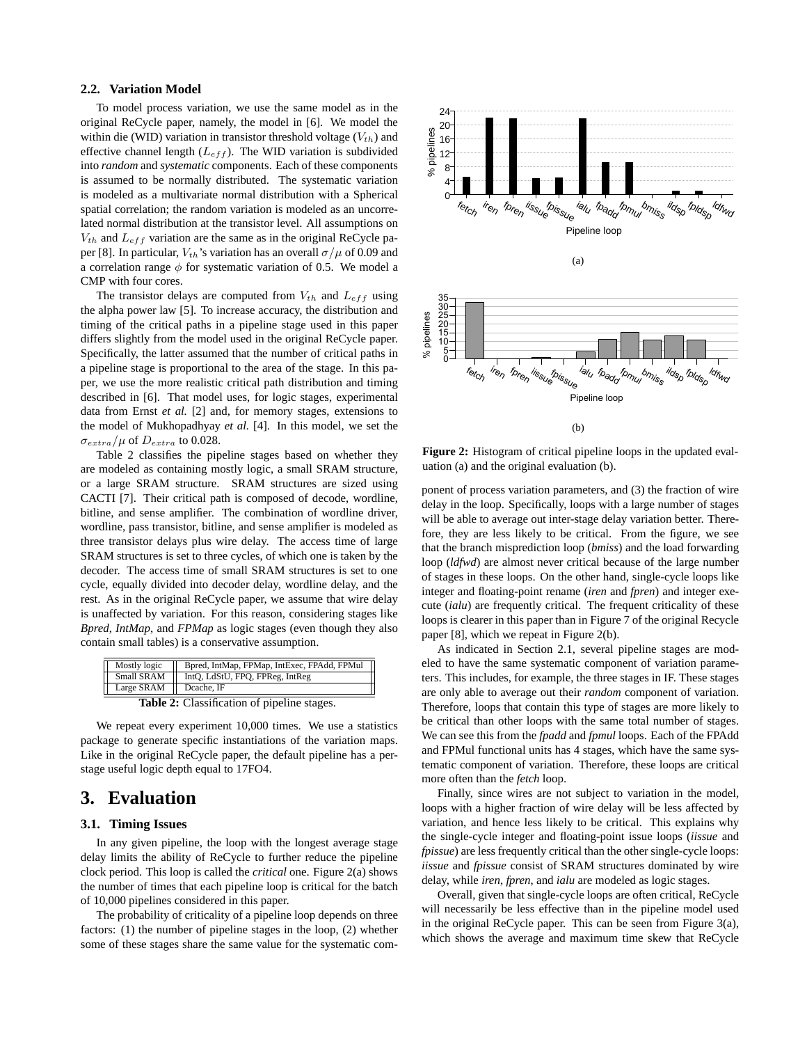#### **2.2. Variation Model**

To model process variation, we use the same model as in the original ReCycle paper, namely, the model in [6]. We model the within die (WID) variation in transistor threshold voltage  $(V_{th})$  and effective channel length  $(L_{eff})$ . The WID variation is subdivided into *random* and *systematic* components. Each of these components is assumed to be normally distributed. The systematic variation is modeled as a multivariate normal distribution with a Spherical spatial correlation; the random variation is modeled as an uncorrelated normal distribution at the transistor level. All assumptions on  $V_{th}$  and  $L_{eff}$  variation are the same as in the original ReCycle paper [8]. In particular,  $V_{th}$ 's variation has an overall  $\sigma/\mu$  of 0.09 and a correlation range  $\phi$  for systematic variation of 0.5. We model a CMP with four cores.

The transistor delays are computed from  $V_{th}$  and  $L_{eff}$  using the alpha power law [5]. To increase accuracy, the distribution and timing of the critical paths in a pipeline stage used in this paper differs slightly from the model used in the original ReCycle paper. Specifically, the latter assumed that the number of critical paths in a pipeline stage is proportional to the area of the stage. In this paper, we use the more realistic critical path distribution and timing described in [6]. That model uses, for logic stages, experimental data from Ernst *et al.* [2] and, for memory stages, extensions to the model of Mukhopadhyay *et al.* [4]. In this model, we set the  $\sigma_{extra}/\mu$  of  $D_{extra}$  to 0.028.

Table 2 classifies the pipeline stages based on whether they are modeled as containing mostly logic, a small SRAM structure, or a large SRAM structure. SRAM structures are sized using CACTI [7]. Their critical path is composed of decode, wordline, bitline, and sense amplifier. The combination of wordline driver, wordline, pass transistor, bitline, and sense amplifier is modeled as three transistor delays plus wire delay. The access time of large SRAM structures is set to three cycles, of which one is taken by the decoder. The access time of small SRAM structures is set to one cycle, equally divided into decoder delay, wordline delay, and the rest. As in the original ReCycle paper, we assume that wire delay is unaffected by variation. For this reason, considering stages like *Bpred*, *IntMap*, and *FPMap* as logic stages (even though they also contain small tables) is a conservative assumption.

| Mostly logic                                | Bpred, IntMap, FPMap, IntExec, FPAdd, FPMul |  |
|---------------------------------------------|---------------------------------------------|--|
| Small SRAM                                  | IntO, LdStU, FPO, FPReg, IntReg             |  |
| Large $SRAM$                                | Dcache. IF                                  |  |
| Table 2: Classification of pipeline stages. |                                             |  |

We repeat every experiment 10,000 times. We use a statistics package to generate specific instantiations of the variation maps. Like in the original ReCycle paper, the default pipeline has a perstage useful logic depth equal to 17FO4.

### **3. Evaluation**

#### **3.1. Timing Issues**

In any given pipeline, the loop with the longest average stage delay limits the ability of ReCycle to further reduce the pipeline clock period. This loop is called the *critical* one. Figure 2(a) shows the number of times that each pipeline loop is critical for the batch of 10,000 pipelines considered in this paper.

The probability of criticality of a pipeline loop depends on three factors: (1) the number of pipeline stages in the loop, (2) whether some of these stages share the same value for the systematic com-



**Figure 2:** Histogram of critical pipeline loops in the updated evaluation (a) and the original evaluation (b).

ponent of process variation parameters, and (3) the fraction of wire delay in the loop. Specifically, loops with a large number of stages will be able to average out inter-stage delay variation better. Therefore, they are less likely to be critical. From the figure, we see that the branch misprediction loop (*bmiss*) and the load forwarding loop (*ldfwd*) are almost never critical because of the large number of stages in these loops. On the other hand, single-cycle loops like integer and floating-point rename (*iren* and *fpren*) and integer execute (*ialu*) are frequently critical. The frequent criticality of these loops is clearer in this paper than in Figure 7 of the original Recycle paper [8], which we repeat in Figure 2(b).

As indicated in Section 2.1, several pipeline stages are modeled to have the same systematic component of variation parameters. This includes, for example, the three stages in IF. These stages are only able to average out their *random* component of variation. Therefore, loops that contain this type of stages are more likely to be critical than other loops with the same total number of stages. We can see this from the *fpadd* and *fpmul* loops. Each of the FPAdd and FPMul functional units has 4 stages, which have the same systematic component of variation. Therefore, these loops are critical more often than the *fetch* loop.

Finally, since wires are not subject to variation in the model, loops with a higher fraction of wire delay will be less affected by variation, and hence less likely to be critical. This explains why the single-cycle integer and floating-point issue loops (*iissue* and *fpissue*) are less frequently critical than the other single-cycle loops: *iissue* and *fpissue* consist of SRAM structures dominated by wire delay, while *iren*, *fpren*, and *ialu* are modeled as logic stages.

Overall, given that single-cycle loops are often critical, ReCycle will necessarily be less effective than in the pipeline model used in the original ReCycle paper. This can be seen from Figure 3(a), which shows the average and maximum time skew that ReCycle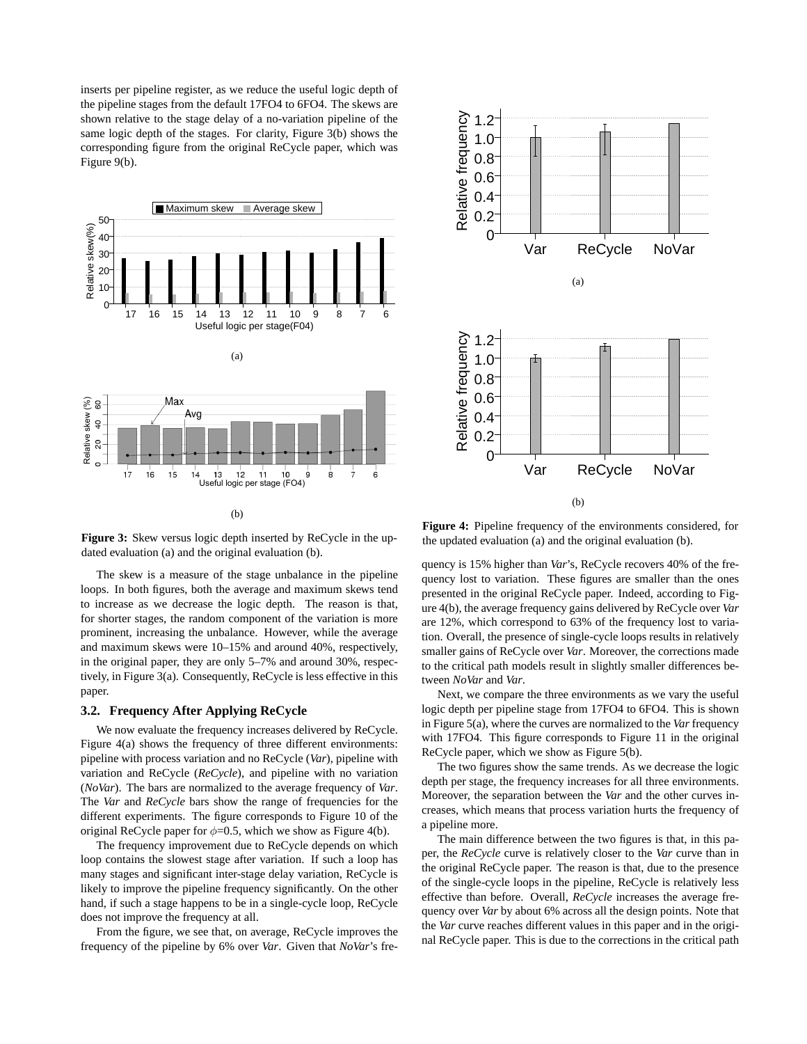inserts per pipeline register, as we reduce the useful logic depth of the pipeline stages from the default 17FO4 to 6FO4. The skews are shown relative to the stage delay of a no-variation pipeline of the same logic depth of the stages. For clarity, Figure 3(b) shows the corresponding figure from the original ReCycle paper, which was Figure 9(b).





**Figure 3:** Skew versus logic depth inserted by ReCycle in the updated evaluation (a) and the original evaluation (b).

The skew is a measure of the stage unbalance in the pipeline loops. In both figures, both the average and maximum skews tend to increase as we decrease the logic depth. The reason is that, for shorter stages, the random component of the variation is more prominent, increasing the unbalance. However, while the average and maximum skews were 10–15% and around 40%, respectively, in the original paper, they are only 5–7% and around 30%, respectively, in Figure 3(a). Consequently, ReCycle is less effective in this paper.

#### **3.2. Frequency After Applying ReCycle**

We now evaluate the frequency increases delivered by ReCycle. Figure 4(a) shows the frequency of three different environments: pipeline with process variation and no ReCycle (*Var*), pipeline with variation and ReCycle (*ReCycle*), and pipeline with no variation (*NoVar*). The bars are normalized to the average frequency of *Var*. The *Var* and *ReCycle* bars show the range of frequencies for the different experiments. The figure corresponds to Figure 10 of the original ReCycle paper for  $\phi$ =0.5, which we show as Figure 4(b).

The frequency improvement due to ReCycle depends on which loop contains the slowest stage after variation. If such a loop has many stages and significant inter-stage delay variation, ReCycle is likely to improve the pipeline frequency significantly. On the other hand, if such a stage happens to be in a single-cycle loop, ReCycle does not improve the frequency at all.

From the figure, we see that, on average, ReCycle improves the frequency of the pipeline by 6% over *Var*. Given that *NoVar*'s fre-

**Figure 4:** Pipeline frequency of the environments considered, for the updated evaluation (a) and the original evaluation (b).

quency is 15% higher than *Var*'s, ReCycle recovers 40% of the frequency lost to variation. These figures are smaller than the ones presented in the original ReCycle paper. Indeed, according to Figure 4(b), the average frequency gains delivered by ReCycle over *Var* are 12%, which correspond to 63% of the frequency lost to variation. Overall, the presence of single-cycle loops results in relatively smaller gains of ReCycle over *Var*. Moreover, the corrections made to the critical path models result in slightly smaller differences between *NoVar* and *Var*.

Next, we compare the three environments as we vary the useful logic depth per pipeline stage from 17FO4 to 6FO4. This is shown in Figure 5(a), where the curves are normalized to the *Var* frequency with 17FO4. This figure corresponds to Figure 11 in the original ReCycle paper, which we show as Figure 5(b).

The two figures show the same trends. As we decrease the logic depth per stage, the frequency increases for all three environments. Moreover, the separation between the *Var* and the other curves increases, which means that process variation hurts the frequency of a pipeline more.

The main difference between the two figures is that, in this paper, the *ReCycle* curve is relatively closer to the *Var* curve than in the original ReCycle paper. The reason is that, due to the presence of the single-cycle loops in the pipeline, ReCycle is relatively less effective than before. Overall, *ReCycle* increases the average frequency over *Var* by about 6% across all the design points. Note that the *Var* curve reaches different values in this paper and in the original ReCycle paper. This is due to the corrections in the critical path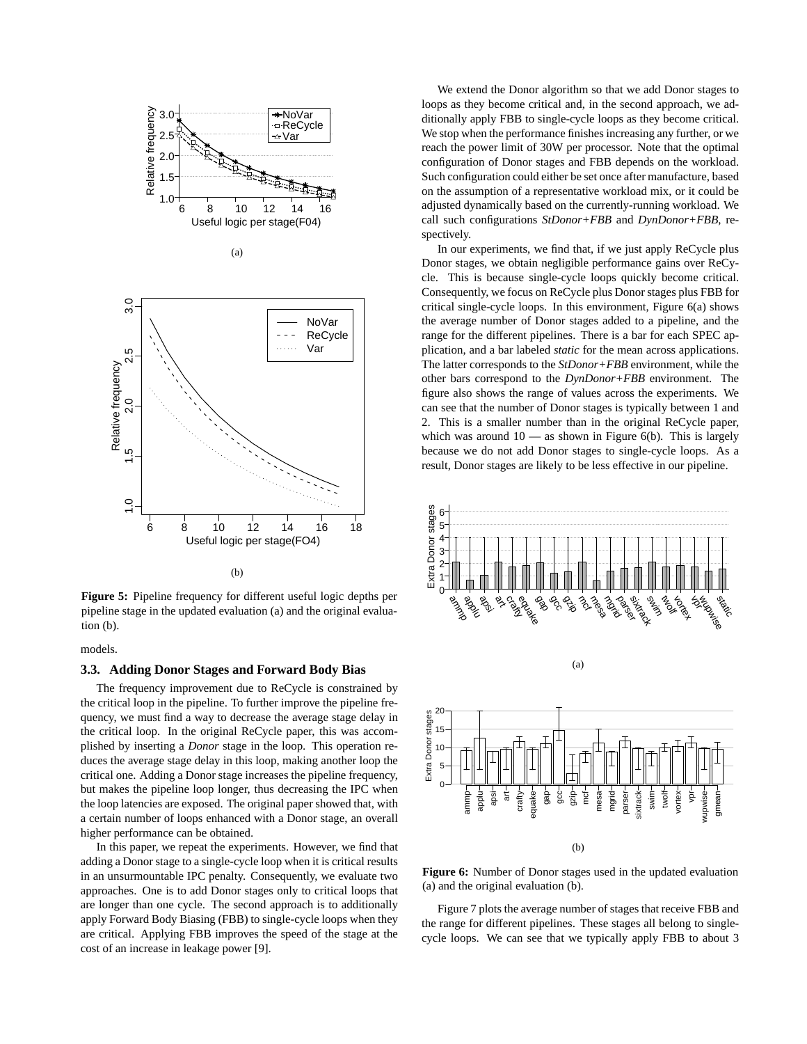

**Figure 5:** Pipeline frequency for different useful logic depths per pipeline stage in the updated evaluation (a) and the original evaluation (b).

#### models.

#### **3.3. Adding Donor Stages and Forward Body Bias**

The frequency improvement due to ReCycle is constrained by the critical loop in the pipeline. To further improve the pipeline frequency, we must find a way to decrease the average stage delay in the critical loop. In the original ReCycle paper, this was accomplished by inserting a *Donor* stage in the loop. This operation reduces the average stage delay in this loop, making another loop the critical one. Adding a Donor stage increases the pipeline frequency, but makes the pipeline loop longer, thus decreasing the IPC when the loop latencies are exposed. The original paper showed that, with a certain number of loops enhanced with a Donor stage, an overall higher performance can be obtained.

In this paper, we repeat the experiments. However, we find that adding a Donor stage to a single-cycle loop when it is critical results in an unsurmountable IPC penalty. Consequently, we evaluate two approaches. One is to add Donor stages only to critical loops that are longer than one cycle. The second approach is to additionally apply Forward Body Biasing (FBB) to single-cycle loops when they are critical. Applying FBB improves the speed of the stage at the cost of an increase in leakage power [9].

We extend the Donor algorithm so that we add Donor stages to loops as they become critical and, in the second approach, we additionally apply FBB to single-cycle loops as they become critical. We stop when the performance finishes increasing any further, or we reach the power limit of 30W per processor. Note that the optimal configuration of Donor stages and FBB depends on the workload. Such configuration could either be set once after manufacture, based on the assumption of a representative workload mix, or it could be adjusted dynamically based on the currently-running workload. We call such configurations *StDonor+FBB* and *DynDonor+FBB*, respectively.

In our experiments, we find that, if we just apply ReCycle plus Donor stages, we obtain negligible performance gains over ReCycle. This is because single-cycle loops quickly become critical. Consequently, we focus on ReCycle plus Donor stages plus FBB for critical single-cycle loops. In this environment, Figure 6(a) shows the average number of Donor stages added to a pipeline, and the range for the different pipelines. There is a bar for each SPEC application, and a bar labeled *static* for the mean across applications. The latter corresponds to the *StDonor+FBB* environment, while the other bars correspond to the *DynDonor+FBB* environment. The figure also shows the range of values across the experiments. We can see that the number of Donor stages is typically between 1 and 2. This is a smaller number than in the original ReCycle paper, which was around  $10 -$  as shown in Figure 6(b). This is largely because we do not add Donor stages to single-cycle loops. As a result, Donor stages are likely to be less effective in our pipeline.





Figure 7 plots the average number of stages that receive FBB and the range for different pipelines. These stages all belong to singlecycle loops. We can see that we typically apply FBB to about 3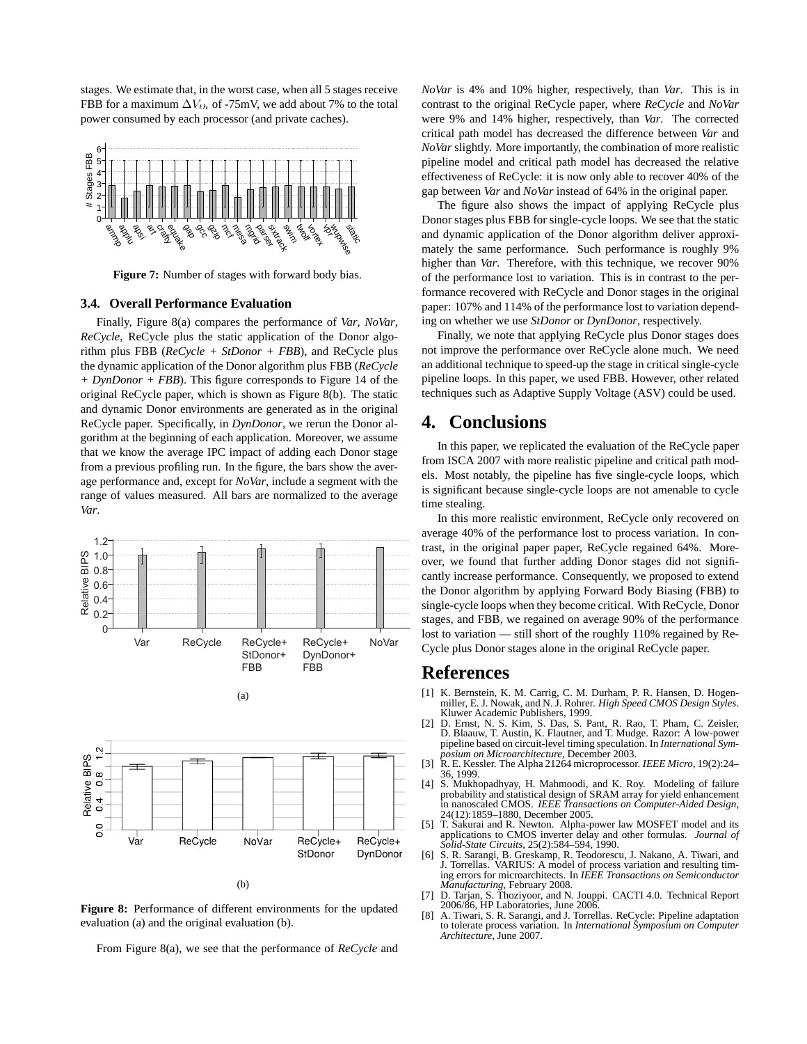stages. We estimate that, in the worst case, when all 5 stages receive FBB for a maximum  $\Delta V_{th}$  of -75mV, we add about 7% to the total power consumed by each processor (and private caches).



**Figure 7:** Number of stages with forward body bias.

#### **3.4. Overall Performance Evaluation**

Finally, Figure 8(a) compares the performance of *Var*, *NoVar*, *ReCycle*, ReCycle plus the static application of the Donor algorithm plus FBB (*ReCycle + StDonor + FBB*), and ReCycle plus the dynamic application of the Donor algorithm plus FBB (*ReCycle + DynDonor + FBB*). This figure corresponds to Figure 14 of the original ReCycle paper, which is shown as Figure 8(b). The static and dynamic Donor environments are generated as in the original ReCycle paper. Specifically, in *DynDonor*, we rerun the Donor algorithm at the beginning of each application. Moreover, we assume that we know the average IPC impact of adding each Donor stage from a previous profiling run. In the figure, the bars show the average performance and, except for *NoVar*, include a segment with the range of values measured. All bars are normalized to the average *Var*.



(b)

NoVar

ReCycle+

StDonor

ReCycle+

DynDonor

ReCycle

Var

**Figure 8:** Performance of different environments for the updated evaluation (a) and the original evaluation (b).

From Figure 8(a), we see that the performance of *ReCycle* and

*NoVar* is 4% and 10% higher, respectively, than *Var*. This is in contrast to the original ReCycle paper, where *ReCycle* and *NoVar* were 9% and 14% higher, respectively, than *Var*. The corrected critical path model has decreased the difference between *Var* and *NoVar* slightly. More importantly, the combination of more realistic pipeline model and critical path model has decreased the relative effectiveness of ReCycle: it is now only able to recover 40% of the gap between *Var* and *NoVar* instead of 64% in the original paper.

The figure also shows the impact of applying ReCycle plus Donor stages plus FBB for single-cycle loops. We see that the static and dynamic application of the Donor algorithm deliver approximately the same performance. Such performance is roughly 9% higher than *Var*. Therefore, with this technique, we recover 90% of the performance lost to variation. This is in contrast to the performance recovered with ReCycle and Donor stages in the original paper: 107% and 114% of the performance lost to variation depending on whether we use *StDonor* or *DynDonor*, respectively.

Finally, we note that applying ReCycle plus Donor stages does not improve the performance over ReCycle alone much. We need an additional technique to speed-up the stage in critical single-cycle pipeline loops. In this paper, we used FBB. However, other related techniques such as Adaptive Supply Voltage (ASV) could be used.

### **4. Conclusions**

In this paper, we replicated the evaluation of the ReCycle paper from ISCA 2007 with more realistic pipeline and critical path models. Most notably, the pipeline has five single-cycle loops, which is significant because single-cycle loops are not amenable to cycle time stealing.

In this more realistic environment, ReCycle only recovered on average 40% of the performance lost to process variation. In contrast, in the original paper paper, ReCycle regained 64%. Moreover, we found that further adding Donor stages did not significantly increase performance. Consequently, we proposed to extend the Donor algorithm by applying Forward Body Biasing (FBB) to single-cycle loops when they become critical. With ReCycle, Donor stages, and FBB, we regained on average 90% of the performance lost to variation — still short of the roughly 110% regained by Re-Cycle plus Donor stages alone in the original ReCycle paper.

### **References**

- [1] K. Bernstein, K. M. Carrig, C. M. Durham, P. R. Hansen, D. Hogen-miller, E. J. Nowak, and N. J. Rohrer. *High Speed CMOS Design Styles*. Kluwer Academic Publishers, 1999.
- [2] D. Ernst, N. S. Kim, S. Das, S. Pant, R. Rao, T. Pham, C. Zeisler, D. Blaauw, T. Austin, K. Flautner, and T. Mudge. Razor: A low-power pipeline based on circuit-level timing speculation. In *International Sym-*
- *posium on Microarchitecture*, December 2003. [3] R. E. Kessler. The Alpha 21264 microprocessor. *IEEE Micro*, 19(2):24– 36, 1999.
- [4] S. Mukhopadhyay, H. Mahmoodi, and K. Roy. Modeling of failure probability and statistical design of SRAM array for yield enhancement in nanoscaled CMOS. *IEEE Transactions on Computer-Aided Design*, 24(12):1859–1880, December 2005.
- [5] T. Sakurai and R. Newton. Alpha-power law MOSFET model and its applications to CMOS inverter delay and other formulas. *Journal of Solid-State Circuits*, 25(2):584–594, 1990.
- [6] S. R. Sarangi, B. Greskamp, R. Teodorescu, J. Nakano, A. Tiwari, and J. Torrellas. VARIUS: A model of process variation and resulting timing errors for microarchitects. In *IEEE Transactions on Semiconductor Manufacturing*, February 2008. [7] D. Tarjan, S. Thoziyoor, and N. Jouppi. CACTI 4.0. Technical Report
- 2006/86, HP Laboratories, June 2006.
- [8] A. Tiwari, S. R. Sarangi, and J. Torrellas. ReCycle: Pipeline adaptation to tolerate process variation. In *International Symposium on Computer Architecture*, June 2007.